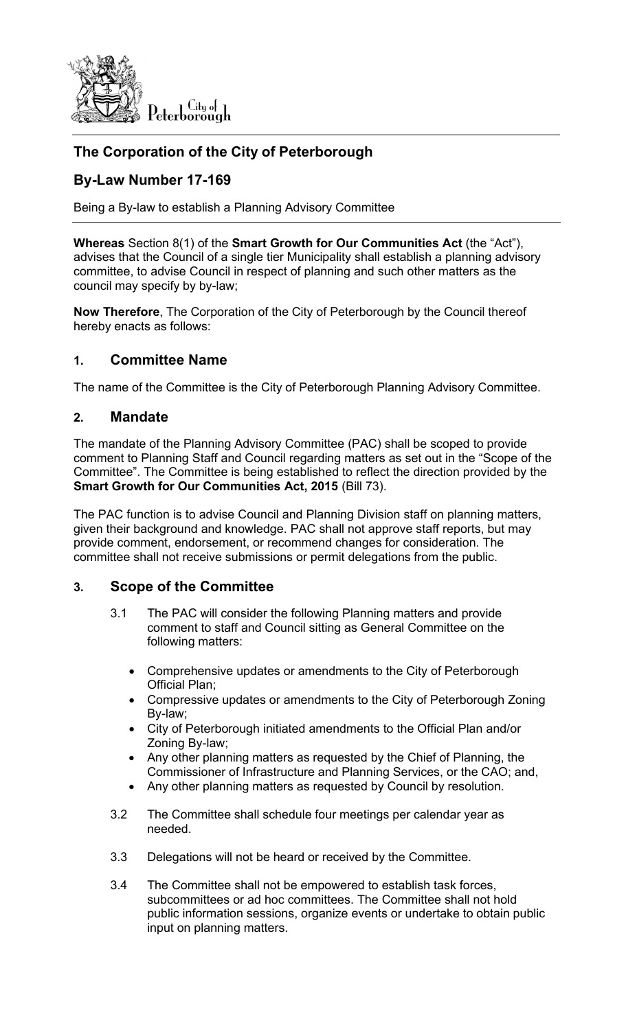

# **The Corporation of the City of Peterborough**

## **By-Law Number 17-169**

Being a By-law to establish a Planning Advisory Committee

**Whereas** Section 8(1) of the **Smart Growth for Our Communities Act** (the "Act"), advises that the Council of a single tier Municipality shall establish a planning advisory committee, to advise Council in respect of planning and such other matters as the council may specify by by-law;

**Now Therefore**, The Corporation of the City of Peterborough by the Council thereof hereby enacts as follows:

### **1. Committee Name**

The name of the Committee is the City of Peterborough Planning Advisory Committee.

#### **2. Mandate**

The mandate of the Planning Advisory Committee (PAC) shall be scoped to provide comment to Planning Staff and Council regarding matters as set out in the "Scope of the Committee". The Committee is being established to reflect the direction provided by the **Smart Growth for Our Communities Act, 2015** (Bill 73).

The PAC function is to advise Council and Planning Division staff on planning matters, given their background and knowledge. PAC shall not approve staff reports, but may provide comment, endorsement, or recommend changes for consideration. The committee shall not receive submissions or permit delegations from the public.

## **3. Scope of the Committee**

- 3.1 The PAC will consider the following Planning matters and provide comment to staff and Council sitting as General Committee on the following matters:
	- Comprehensive updates or amendments to the City of Peterborough Official Plan;
	- Compressive updates or amendments to the City of Peterborough Zoning By-law;
	- City of Peterborough initiated amendments to the Official Plan and/or Zoning By-law;
	- Any other planning matters as requested by the Chief of Planning, the Commissioner of Infrastructure and Planning Services, or the CAO; and,
	- Any other planning matters as requested by Council by resolution.
- 3.2 The Committee shall schedule four meetings per calendar year as needed.
- 3.3 Delegations will not be heard or received by the Committee.
- 3.4 The Committee shall not be empowered to establish task forces, subcommittees or ad hoc committees. The Committee shall not hold public information sessions, organize events or undertake to obtain public input on planning matters.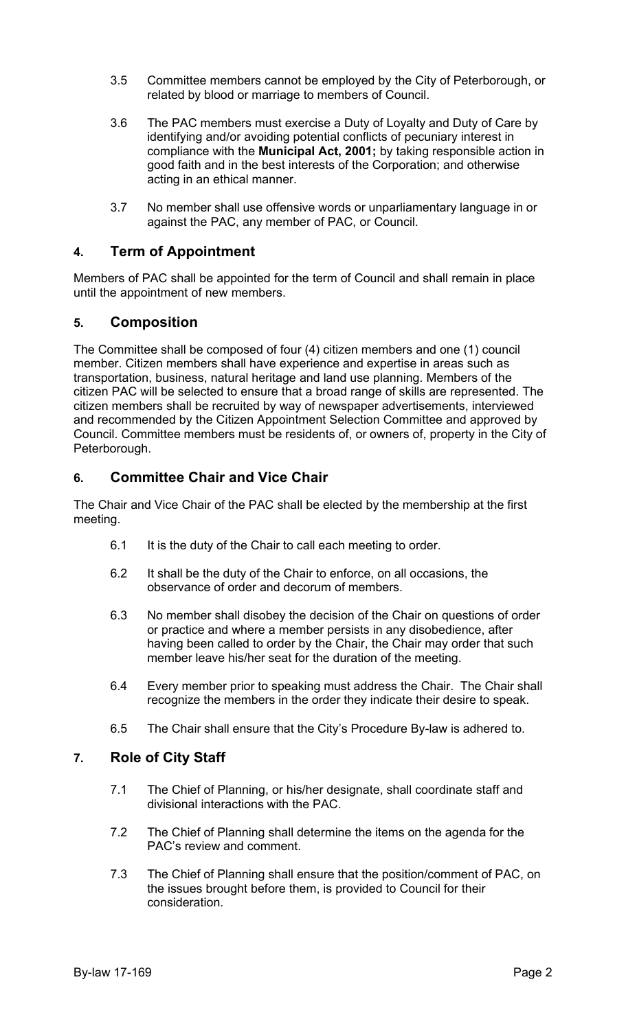- 3.5 Committee members cannot be employed by the City of Peterborough, or related by blood or marriage to members of Council.
- 3.6 The PAC members must exercise a Duty of Loyalty and Duty of Care by identifying and/or avoiding potential conflicts of pecuniary interest in compliance with the **Municipal Act, 2001;** by taking responsible action in good faith and in the best interests of the Corporation; and otherwise acting in an ethical manner.
- 3.7 No member shall use offensive words or unparliamentary language in or against the PAC, any member of PAC, or Council.

## **4. Term of Appointment**

Members of PAC shall be appointed for the term of Council and shall remain in place until the appointment of new members.

#### **5. Composition**

The Committee shall be composed of four (4) citizen members and one (1) council member. Citizen members shall have experience and expertise in areas such as transportation, business, natural heritage and land use planning. Members of the citizen PAC will be selected to ensure that a broad range of skills are represented. The citizen members shall be recruited by way of newspaper advertisements, interviewed and recommended by the Citizen Appointment Selection Committee and approved by Council. Committee members must be residents of, or owners of, property in the City of Peterborough.

## **6. Committee Chair and Vice Chair**

The Chair and Vice Chair of the PAC shall be elected by the membership at the first meeting.

- 6.1 It is the duty of the Chair to call each meeting to order.
- 6.2 It shall be the duty of the Chair to enforce, on all occasions, the observance of order and decorum of members.
- 6.3 No member shall disobey the decision of the Chair on questions of order or practice and where a member persists in any disobedience, after having been called to order by the Chair, the Chair may order that such member leave his/her seat for the duration of the meeting.
- 6.4 Every member prior to speaking must address the Chair. The Chair shall recognize the members in the order they indicate their desire to speak.
- 6.5 The Chair shall ensure that the City's Procedure By-law is adhered to.

#### **7. Role of City Staff**

- 7.1 The Chief of Planning, or his/her designate, shall coordinate staff and divisional interactions with the PAC.
- 7.2 The Chief of Planning shall determine the items on the agenda for the PAC's review and comment.
- 7.3 The Chief of Planning shall ensure that the position/comment of PAC, on the issues brought before them, is provided to Council for their consideration.